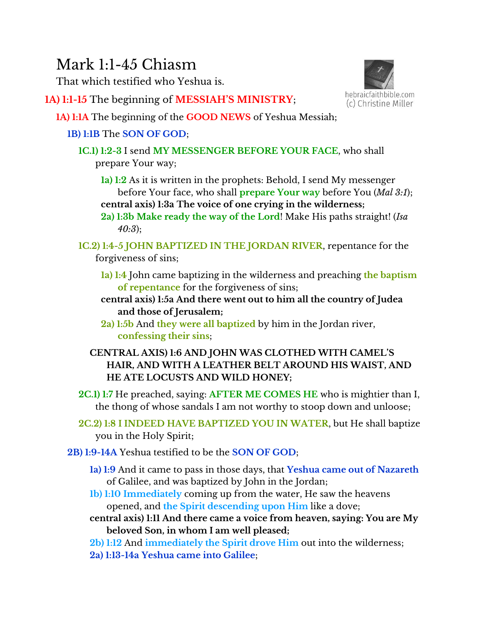# Mark 1:1-45 Chiasm

That which testified who Yeshua is.

**1A) 1:1-15** The beginning of **MESSIAH'S MINISTRY**;



- **1A) 1:1A** The beginning of the **GOOD NEWS** of Yeshua Messiah;
	- **1B) 1:1B** The **SON OF GOD**;
		- **1C.1) 1:2-3** I send **MY MESSENGER BEFORE YOUR FACE**, who shall prepare Your way;
			- **1a) 1:2** As it is written in the prophets: Behold, I send My messenger before Your face, who shall **prepare Your way** before You (*Mal 3:1*); **central axis) 1:3a The voice of one crying in the wilderness;**
			- **2a) 1:3b Make ready the way of the Lord**! Make His paths straight! (*Isa 40:3*);
		- **1C.2) 1:4-5 JOHN BAPTIZED IN THE JORDAN RIVER**, repentance for the forgiveness of sins;
			- **1a) 1:4** John came baptizing in the wilderness and preaching **the baptism of repentance** for the forgiveness of sins;
			- **central axis) 1:5a And there went out to him all the country of Judea and those of Jerusalem;**
			- **2a) 1:5b** And **they were all baptized** by him in the Jordan river, **confessing their sins**;
			- **CENTRAL AXIS) 1:6 AND JOHN WAS CLOTHED WITH CAMEL'S HAIR, AND WITH A LEATHER BELT AROUND HIS WAIST, AND HE ATE LOCUSTS AND WILD HONEY;**
		- **2C.1) 1:7** He preached, saying: **AFTER ME COMES HE** who is mightier than I, the thong of whose sandals I am not worthy to stoop down and unloose;
		- **2C.2) 1:8 I INDEED HAVE BAPTIZED YOU IN WATER**, but He shall baptize you in the Holy Spirit;
	- **2B) 1:9-14A** Yeshua testified to be the **SON OF GOD**;
		- **1a) 1:9** And it came to pass in those days, that **Yeshua came out of Nazareth** of Galilee, and was baptized by John in the Jordan;
		- **1b) 1:10 Immediately** coming up from the water, He saw the heavens opened, and **the Spirit descending upon Him** like a dove;
		- **central axis) 1:11 And there came a voice from heaven, saying: You are My beloved Son, in whom I am well pleased;**
		- **2b) 1:12** And **immediately the Spirit drove Him** out into the wilderness;
		- **2a) 1:13-14a Yeshua came into Galilee**;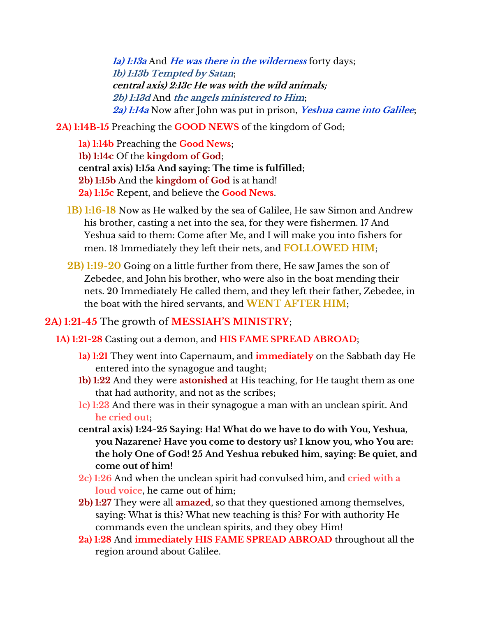**1a) 1:13a** And **He was there in the wilderness** forty days; **1b) 1:13b Tempted by Satan**; **central axis) 2:13c He was with the wild animals; 2b) 1:13d** And **the angels ministered to Him**; **2a) 1:14a** Now after John was put in prison, **Yeshua came into Galilee**;

- **2A) 1:14B-15** Preaching the **GOOD NEWS** of the kingdom of God;
	- **1a) 1:14b** Preaching the **Good News**; **1b) 1:14c** Of the **kingdom of God**; **central axis) 1:15a And saying: The time is fulfilled; 2b) 1:15b** And the **kingdom of God** is at hand! **2a) 1:15c** Repent, and believe the **Good News**.
	- **1B) 1:16-18** Now as He walked by the sea of Galilee, He saw Simon and Andrew his brother, casting a net into the sea, for they were fishermen. 17 And Yeshua said to them: Come after Me, and I will make you into fishers for men. 18 Immediately they left their nets, and **FOLLOWED HIM**;
	- **2B) 1:19-20** Going on a little further from there, He saw James the son of Zebedee, and John his brother, who were also in the boat mending their nets. 20 Immediately He called them, and they left their father, Zebedee, in the boat with the hired servants, and **WENT AFTER HIM**;

# **2A) 1:21-45** The growth of **MESSIAH'S MINISTRY**;

**1A) 1:21-28** Casting out a demon, and **HIS FAME SPREAD ABROAD**;

- **1a) 1:21** They went into Capernaum, and **immediately** on the Sabbath day He entered into the synagogue and taught;
- **1b) 1:22** And they were **astonished** at His teaching, for He taught them as one that had authority, and not as the scribes;
- **1c) 1:23** And there was in their synagogue a man with an unclean spirit. And **he cried out**;
- **central axis) 1:24-25 Saying: Ha! What do we have to do with You, Yeshua, you Nazarene? Have you come to destory us? I know you, who You are: the holy One of God! 25 And Yeshua rebuked him, saying: Be quiet, and come out of him!**
- **2c) 1:26** And when the unclean spirit had convulsed him, and **cried with a loud voice**, he came out of him;
- **2b) 1:27** They were all **amazed**, so that they questioned among themselves, saying: What is this? What new teaching is this? For with authority He commands even the unclean spirits, and they obey Him!
- **2a) 1:28** And **immediately HIS FAME SPREAD ABROAD** throughout all the region around about Galilee.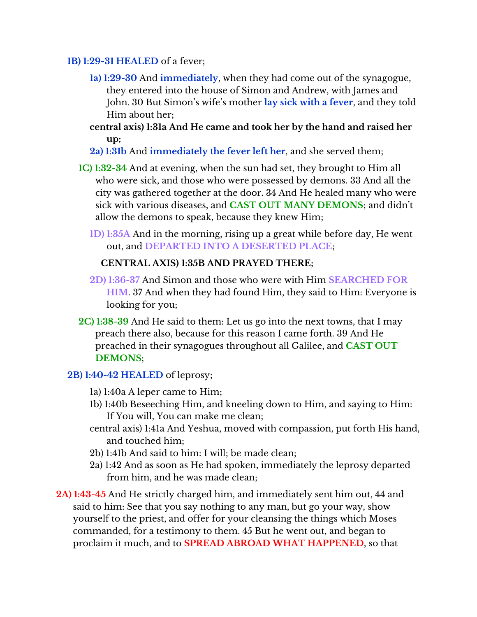#### **1B) 1:29-31 HEALED** of a fever;

- **1a) 1:29-30** And **immediately**, when they had come out of the synagogue, they entered into the house of Simon and Andrew, with James and John. 30 But Simon's wife's mother **lay sick with a fever**, and they told Him about her;
- **central axis) 1:31a And He came and took her by the hand and raised her up;**
- **2a) 1:31b** And **immediately the fever left her**, and she served them;
- **1C) 1:32-34** And at evening, when the sun had set, they brought to Him all who were sick, and those who were possessed by demons. 33 And all the city was gathered together at the door. 34 And He healed many who were sick with various diseases, and **CAST OUT MANY DEMONS**; and didn't allow the demons to speak, because they knew Him;
	- **1D) 1:35A** And in the morning, rising up a great while before day, He went out, and **DEPARTED INTO A DESERTED PLACE**;

## **CENTRAL AXIS) 1:35B AND PRAYED THERE;**

- **2D) 1:36-37** And Simon and those who were with Him **SEARCHED FOR HIM**. 37 And when they had found Him, they said to Him: Everyone is looking for you;
- **2C) 1:38-39** And He said to them: Let us go into the next towns, that I may preach there also, because for this reason I came forth. 39 And He preached in their synagogues throughout all Galilee, and **CAST OUT DEMONS**;

### **2B) 1:40-42 HEALED** of leprosy;

- 1a) 1:40a A leper came to Him;
- 1b) 1:40b Beseeching Him, and kneeling down to Him, and saying to Him: If You will, You can make me clean;
- central axis) 1:41a And Yeshua, moved with compassion, put forth His hand, and touched him;
- 2b) 1:41b And said to him: I will; be made clean;
- 2a) 1:42 And as soon as He had spoken, immediately the leprosy departed from him, and he was made clean;
- **2A) 1:43-45** And He strictly charged him, and immediately sent him out, 44 and said to him: See that you say nothing to any man, but go your way, show yourself to the priest, and offer for your cleansing the things which Moses commanded, for a testimony to them. 45 But he went out, and began to proclaim it much, and to **SPREAD ABROAD WHAT HAPPENED**, so that